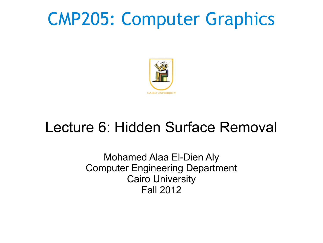# CMP205: Computer Graphics



### Lecture 6: Hidden Surface Removal

Mohamed Alaa El-Dien Aly Computer Engineering Department Cairo University Fall 2012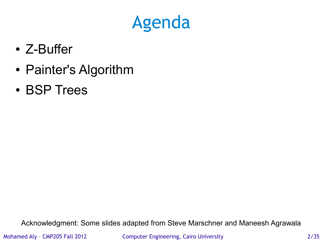# Agenda

- Z-Buffer
- Painter's Algorithm
- BSP Trees

Acknowledgment: Some slides adapted from Steve Marschner and Maneesh Agrawala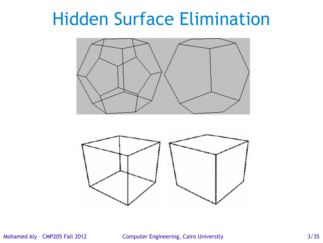# Hidden Surface Elimination





Mohamed Aly – CMP205 Fall 2012 Computer Engineering, Cairo University 3/35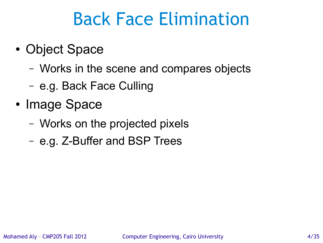# Back Face Elimination

- Object Space
	- Works in the scene and compares objects
	- e.g. Back Face Culling
- Image Space
	- Works on the projected pixels
	- e.g. Z-Buffer and BSP Trees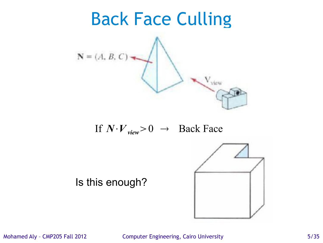

Mohamed Aly - CMP205 Fall 2012 Computer Engineering, Cairo University 6/35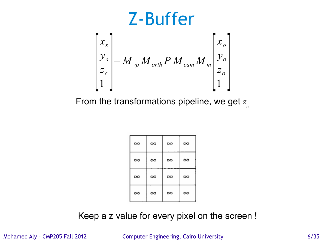

From the transformations pipeline, we get *z c*

| $\infty$ | $\infty$ | $\infty$ | œ        |
|----------|----------|----------|----------|
| $\infty$ | ∞        | ∞        | ∞        |
| œ        | $\infty$ | œ        | œ        |
| ∞        | ∞        | ∞        | $\infty$ |

Keep a z value for every pixel on the screen !

Mohamed Aly - CMP205 Fall 2012 Computer Engineering, Cairo University 6/35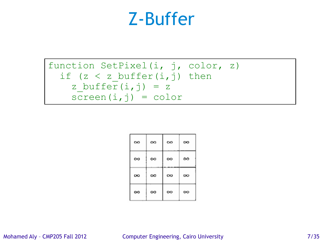### Z-Buffer

function SetPixel(i, j, color, z) if (z < z\_buffer(i,j) then z\_buffer(i,j) = z screen(i,j) = color

| $\infty$ | $\infty$ | $\infty$ | ∞ |
|----------|----------|----------|---|
| ∞        | ∞        | ∞        | ∞ |
| œ        | $\infty$ | œ        | œ |
| ∞        | ∞        | ∞        | ∞ |

#### Mohamed Aly - CMP205 Fall 2012 Computer Engineering, Cairo University 7/35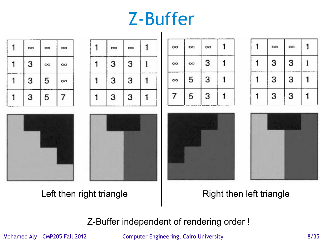## Z-Buffer



### Left then right triangle **Acceleration Control** Right then left triangle

Z-Buffer independent of rendering order !

Mohamed Aly - CMP205 Fall 2012 Computer Engineering, Cairo University 6/35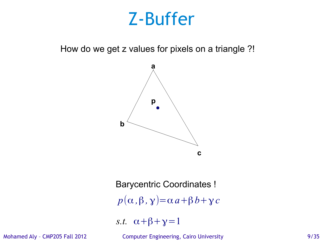### Z-Buffer

How do we get z values for pixels on a triangle ?!



 $p(\alpha, \beta, \gamma) = \alpha a + \beta b + \gamma c$ *s.t.*  $\alpha + \beta + \gamma = 1$ Barycentric Coordinates !

Mohamed Aly - CMP205 Fall 2012 Computer Engineering, Cairo University 6/35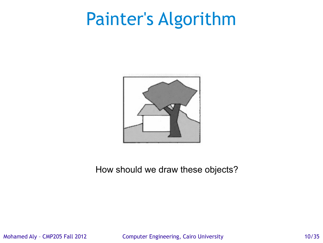# Painter's Algorithm



### How should we draw these objects?

Mohamed Aly – CMP205 Fall 2012 Computer Engineering, Cairo University 10/35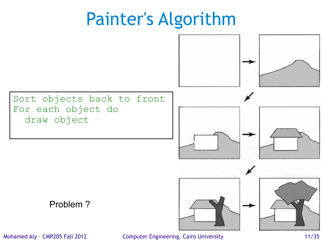# Painter's Algorithm



Mohamed Aly - CMP205 Fall 2012 Computer Engineering, Cairo University 11/35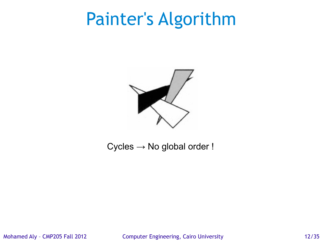# Painter's Algorithm



### $Cycles \rightarrow No global order!$

Mohamed Aly – CMP205 Fall 2012 Computer Engineering, Cairo University 12/35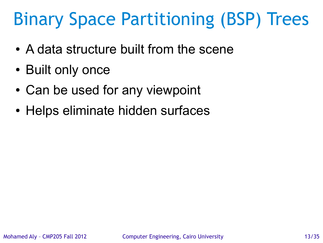# Binary Space Partitioning (BSP) Trees

- A data structure built from the scene
- Built only once
- Can be used for any viewpoint
- Helps eliminate hidden surfaces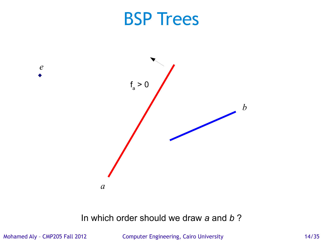

### In which order should we draw *a* and *b* ?

Mohamed Aly – CMP205 Fall 2012 Computer Engineering, Cairo University 14/35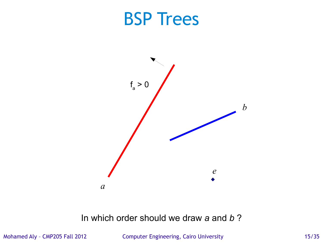

### In which order should we draw *a* and *b* ?

Mohamed Aly – CMP205 Fall 2012 Computer Engineering, Cairo University 15/35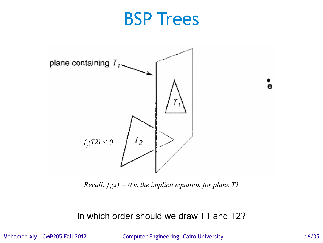

 $Recall: f_{i}(x) = 0$  is the implicit equation for plane T1

In which order should we draw T1 and T2?

Mohamed Aly – CMP205 Fall 2012 Computer Engineering, Cairo University 16/35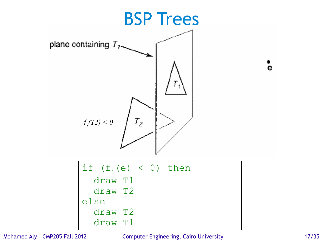

Mohamed Aly – CMP205 Fall 2012 Computer Engineering, Cairo University 17/35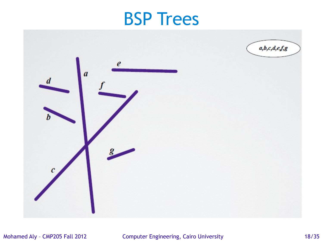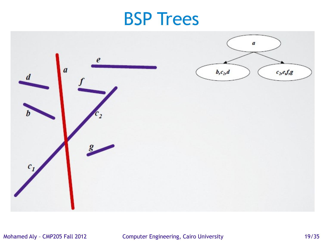

#### Mohamed Aly - CMP205 Fall 2012 Computer Engineering, Cairo University 19/35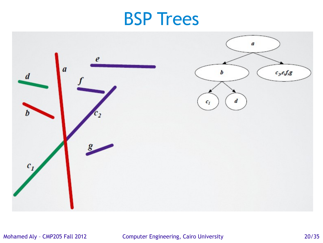

#### Mohamed Aly – CMP205 Fall 2012 Computer Engineering, Cairo University 20/35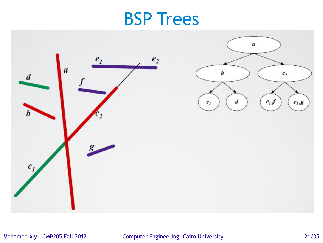

#### Mohamed Aly – CMP205 Fall 2012 Computer Engineering, Cairo University 21/35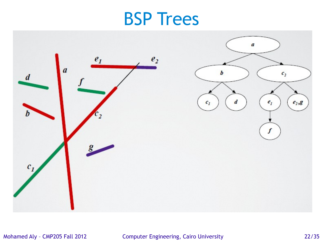

#### Mohamed Aly – CMP205 Fall 2012 Computer Engineering, Cairo University 22/35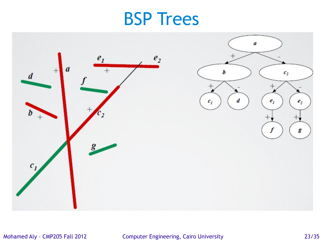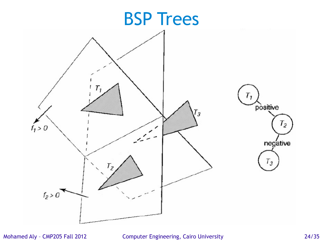

Mohamed Aly – CMP205 Fall 2012 Computer Engineering, Cairo University 24/35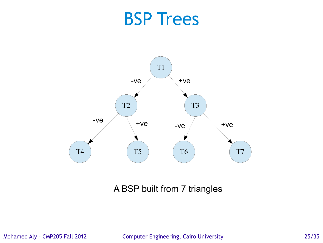

A BSP built from 7 triangles

Mohamed Aly – CMP205 Fall 2012 Computer Engineering, Cairo University 25/35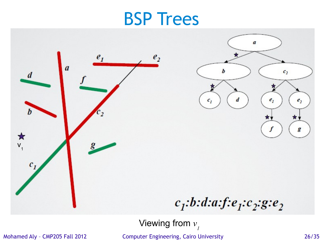

Viewing from *v 1*

Mohamed Aly – CMP205 Fall 2012 Computer Engineering, Cairo University 26/35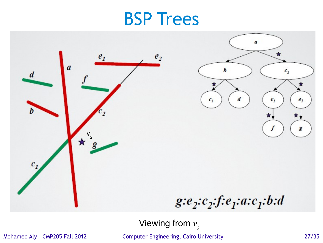

Viewing from *v 2*

Mohamed Aly – CMP205 Fall 2012 Computer Engineering, Cairo University 27/35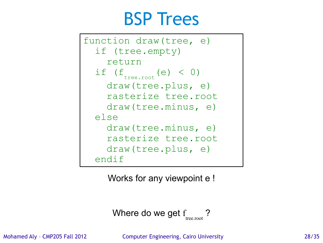```
function draw(tree, e)
   if (tree.empty)
     return
if (f_{tree,root}(e) < 0) draw(tree.plus, e)
     rasterize tree.root
     draw(tree.minus, e)
   else
     draw(tree.minus, e)
     rasterize tree.root
     draw(tree.plus, e)
   endif
```
Works for any viewpoint e !

Where do we get 
$$
f_{\text{tree root}}
$$
 ?

Mohamed Aly – CMP205 Fall 2012 Computer Engineering, Cairo University 28/35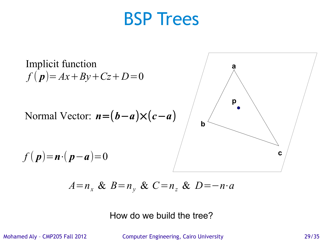

$$
A=n_x \& B=n_y \& C=n_z \& D=-n \cdot a
$$

How do we build the tree?

Mohamed Aly – CMP205 Fall 2012 Computer Engineering, Cairo University 29/35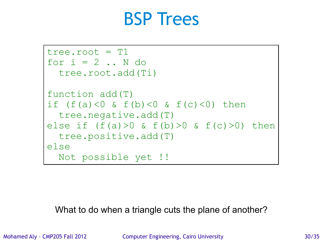```
tree.root = T1for i = 2 .. N do
   tree.root.add(Ti)
function add(T)
if (f(a) < 0 \& f(b) < 0 \& f(c) < 0) then
   tree.negative.add(T)
else if (f(a))>0 & f(b)>0 & f(c)>0) then
   tree.positive.add(T)
else
   Not possible yet !!
```
What to do when a triangle cuts the plane of another?

Mohamed Aly - CMP205 Fall 2012 Computer Engineering, Cairo University 30/35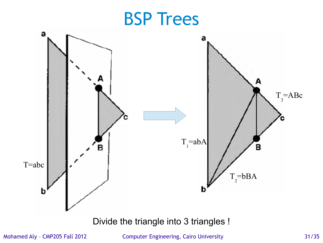

Mohamed Aly – CMP205 Fall 2012 Computer Engineering, Cairo University 31/35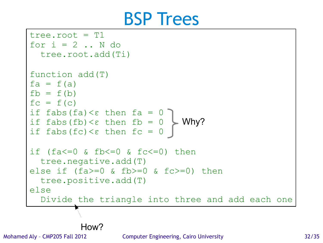```
tree.root = T1for i = 2...N do
   tree.root.add(Ti)
function add(T)
fa = f(a)fb = f(b)fc = f(c)if fabs(fa) <ε then fa = 0
if fabs(fb) < \epsilon then fb = 0if fabs(fc) \langle \varepsilon \rangle then fc = 0
if (fa\leq=0 & fb\leq=0 & fc\leq=0) then
   tree.negative.add(T)
else if (fa>=0 & fb>=0 & fc>=0) then
   tree.positive.add(T)
else
   Divide the triangle into three and add each one
                                 Why? 
           How?
```
Mohamed Aly – CMP205 Fall 2012 Computer Engineering, Cairo University 32/35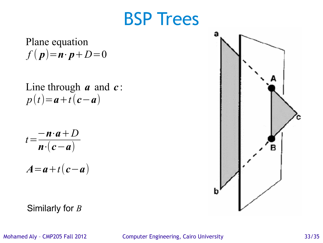Plane equation  $f(\boldsymbol{p}) = \boldsymbol{n} \cdot \boldsymbol{p} + D = 0$ 

Line through *a* and *c* : *p*(*t*)=*a*+*t*(*c*−*a*)

$$
t = \frac{-\mathbf{n} \cdot \mathbf{a} + D}{\mathbf{n} \cdot (\mathbf{c} - \mathbf{a})}
$$

$$
A = a + t(c - a)
$$

Similarly for *B*



Mohamed Aly - CMP205 Fall 2012 Computer Engineering, Cairo University 33/35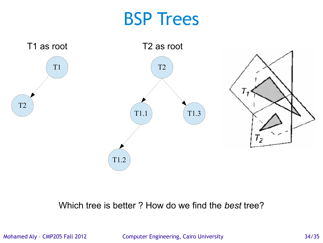

### Which tree is better ? How do we find the *best* tree?

Mohamed Aly – CMP205 Fall 2012 Computer Engineering, Cairo University 34/35